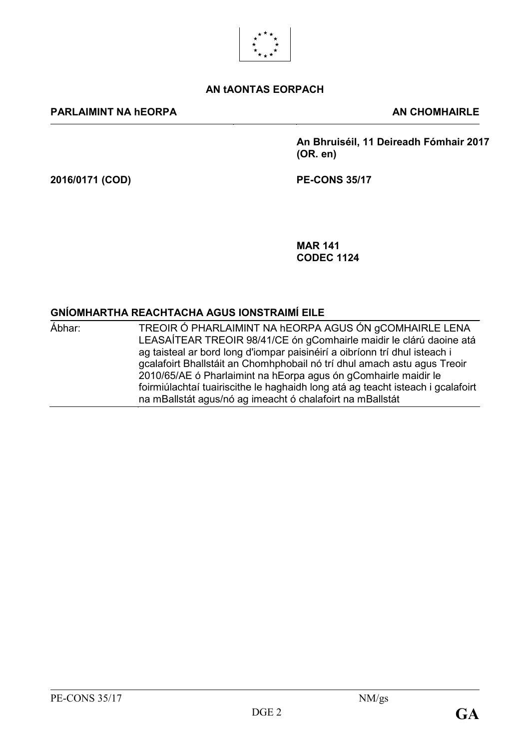

#### **AN tAONTAS EORPACH**

#### **PARLAIMINT NA hEORPA AN CHOMHAIRLE**

**An Bhruiséil, 11 Deireadh Fómhair 2017 (OR. en)**

**2016/0171 (COD) PE-CONS 35/17**

**MAR 141 CODEC 1124**

### **GNÍOMHARTHA REACHTACHA AGUS IONSTRAIMÍ EILE**

| Ábhar: | TREOIR Ó PHARLAIMINT NA HEORPA AGUS ÓN GCOMHAIRLE LENA                          |
|--------|---------------------------------------------------------------------------------|
|        | LEASAÍTEAR TREOIR 98/41/CE ón gComhairle maidir le clárú daoine atá             |
|        | ag taisteal ar bord long d'iompar paisinéirí a oibríonn trí dhul isteach i      |
|        | gcalafoirt Bhallstáit an Chomhphobail nó trí dhul amach astu agus Treoir        |
|        | 2010/65/AE ó Pharlaimint na hEorpa agus ón gComhairle maidir le                 |
|        | foirmiúlachtaí tuairiscithe le haghaidh long atá ag teacht isteach i gcalafoirt |
|        | na mBallstát agus/nó ag imeacht ó chalafoirt na mBallstát                       |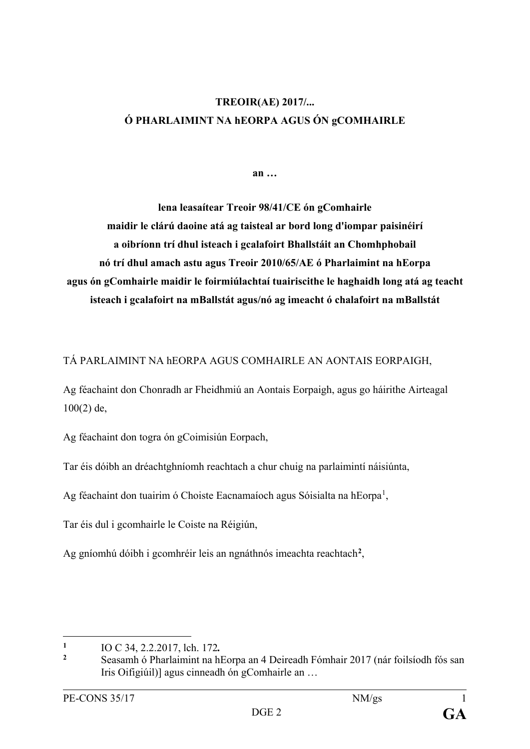# **TREOIR(AE) 2017/... Ó PHARLAIMINT NA hEORPA AGUS ÓN gCOMHAIRLE**

**an …**

**lena leasaítear Treoir 98/41/CE ón gComhairle maidir le clárú daoine atá ag taisteal ar bord long d'iompar paisinéirí a oibríonn trí dhul isteach i gcalafoirt Bhallstáit an Chomhphobail nó trí dhul amach astu agus Treoir 2010/65/AE ó Pharlaimint na hEorpa agus ón gComhairle maidir le foirmiúlachtaí tuairiscithe le haghaidh long atá ag teacht isteach i gcalafoirt na mBallstát agus/nó ag imeacht ó chalafoirt na mBallstát**

#### TÁ PARLAIMINT NA hEORPA AGUS COMHAIRLE AN AONTAIS EORPAIGH,

Ag féachaint don Chonradh ar Fheidhmiú an Aontais Eorpaigh, agus go háirithe Airteagal  $100(2)$  de,

Ag féachaint don togra ón gCoimisiún Eorpach,

Tar éis dóibh an dréachtghníomh reachtach a chur chuig na parlaimintí náisiúnta,

Ag féachaint don tuairim ó Choiste Eacnamaíoch agus Sóisialta na hEorpa<sup>[1](#page-1-0)</sup>,

Tar éis dul i gcomhairle le Coiste na Réigiún,

Ag gníomhú dóibh i gcomhréir leis an ngnáthnós imeachta reachtach**[2](#page-1-1)** ,

<span id="page-1-0"></span> $\mathbf{1}$ **<sup>1</sup>** IO C 34, 2.2.2017, lch. 172*.*

<span id="page-1-1"></span>**<sup>2</sup>** Seasamh ó Pharlaimint na hEorpa an 4 Deireadh Fómhair 2017 (nár foilsíodh fós san Iris Oifigiúil)] agus cinneadh ón gComhairle an …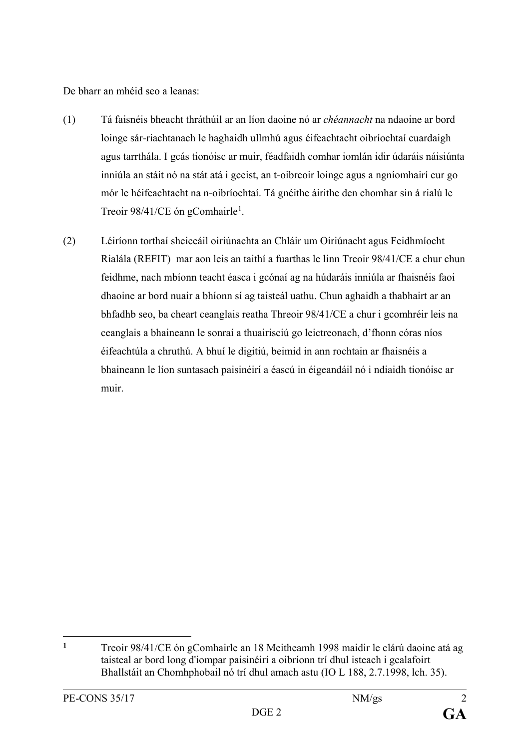De bharr an mhéid seo a leanas:

- (1) Tá faisnéis bheacht thráthúil ar an líon daoine nó ar *chéannacht* na ndaoine ar bord loinge sár-riachtanach le haghaidh ullmhú agus éifeachtacht oibríochtaí cuardaigh agus tarrthála. I gcás tionóisc ar muir, féadfaidh comhar iomlán idir údaráis náisiúnta inniúla an stáit nó na stát atá i gceist, an t-oibreoir loinge agus a ngníomhairí cur go mór le héifeachtacht na n-oibríochtaí. Tá gnéithe áirithe den chomhar sin á rialú le Treoir 98/4[1](#page-2-0)/CE ón gComhairle<sup>1</sup>.
- (2) Léiríonn torthaí sheiceáil oiriúnachta an Chláir um Oiriúnacht agus Feidhmíocht Rialála (REFIT) mar aon leis an taithí a fuarthas le linn Treoir 98/41/CE a chur chun feidhme, nach mbíonn teacht éasca i gcónaí ag na húdaráis inniúla ar fhaisnéis faoi dhaoine ar bord nuair a bhíonn sí ag taisteál uathu. Chun aghaidh a thabhairt ar an bhfadhb seo, ba cheart ceanglais reatha Threoir 98/41/CE a chur i gcomhréir leis na ceanglais a bhaineann le sonraí a thuairisciú go leictreonach, d'fhonn córas níos éifeachtúla a chruthú. A bhuí le digitiú, beimid in ann rochtain ar fhaisnéis a bhaineann le líon suntasach paisinéirí a éascú in éigeandáil nó i ndiaidh tionóisc ar muir.

<span id="page-2-0"></span> $\mathbf{1}$ **<sup>1</sup>** Treoir 98/41/CE ón gComhairle an 18 Meitheamh 1998 maidir le clárú daoine atá ag taisteal ar bord long d'iompar paisinéirí a oibríonn trí dhul isteach i gcalafoirt Bhallstáit an Chomhphobail nó trí dhul amach astu (IO L 188, 2.7.1998, lch. 35).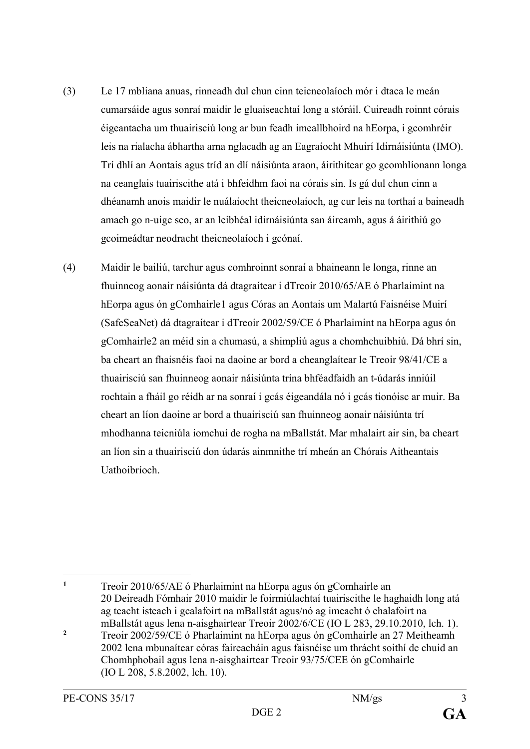- (3) Le 17 mbliana anuas, rinneadh dul chun cinn teicneolaíoch mór i dtaca le meán cumarsáide agus sonraí maidir le gluaiseachtaí long a stóráil. Cuireadh roinnt córais éigeantacha um thuairisciú long ar bun feadh imeallbhoird na hEorpa, i gcomhréir leis na rialacha ábhartha arna nglacadh ag an Eagraíocht Mhuirí Idirnáisiúnta (IMO). Trí dhlí an Aontais agus tríd an dlí náisiúnta araon, áirithítear go gcomhlíonann longa na ceanglais tuairiscithe atá i bhfeidhm faoi na córais sin. Is gá dul chun cinn a dhéanamh anois maidir le nuálaíocht theicneolaíoch, ag cur leis na torthaí a baineadh amach go n-uige seo, ar an leibhéal idirnáisiúnta san áireamh, agus á áirithiú go gcoimeádtar neodracht theicneolaíoch i gcónaí.
- (4) Maidir le bailiú, tarchur agus comhroinnt sonraí a bhaineann le longa, rinne an fhuinneog aonair náisiúnta dá dtagraítear i dTreoir 2010/65/AE ó Pharlaimint na hEorpa agus ón gComhairle[1](#page-3-0) agus Córas an Aontais um Malartú Faisnéise Muirí (SafeSeaNet) dá dtagraítear i dTreoir 2002/59/CE ó Pharlaimint na hEorpa agus ón gComhairle[2](#page-3-1) an méid sin a chumasú, a shimpliú agus a chomhchuibhiú. Dá bhrí sin, ba cheart an fhaisnéis faoi na daoine ar bord a cheanglaítear le Treoir 98/41/CE a thuairisciú san fhuinneog aonair náisiúnta trína bhféadfaidh an t-údarás inniúil rochtain a fháil go réidh ar na sonraí i gcás éigeandála nó i gcás tionóisc ar muir. Ba cheart an líon daoine ar bord a thuairisciú san fhuinneog aonair náisiúnta trí mhodhanna teicniúla iomchuí de rogha na mBallstát. Mar mhalairt air sin, ba cheart an líon sin a thuairisciú don údarás ainmnithe trí mheán an Chórais Aitheantais Uathoibríoch.

 $\mathbf{1}$ 

<span id="page-3-1"></span><span id="page-3-0"></span>**<sup>1</sup>** Treoir 2010/65/AE ó Pharlaimint na hEorpa agus ón gComhairle an 20 Deireadh Fómhair 2010 maidir le foirmiúlachtaí tuairiscithe le haghaidh long atá ag teacht isteach i gcalafoirt na mBallstát agus/nó ag imeacht ó chalafoirt na mBallstát agus lena n-aisghairtear Treoir 2002/6/CE (IO L 283, 29.10.2010, lch. 1). **<sup>2</sup>** Treoir 2002/59/CE ó Pharlaimint na hEorpa agus ón gComhairle an 27 Meitheamh 2002 lena mbunaítear córas faireacháin agus faisnéise um thrácht soithí de chuid an Chomhphobail agus lena n-aisghairtear Treoir 93/75/CEE ón gComhairle (IO L 208, 5.8.2002, lch. 10).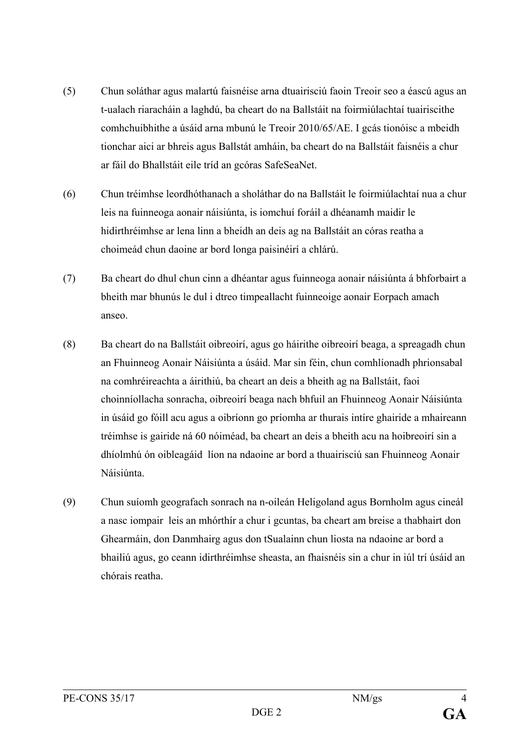- (5) Chun soláthar agus malartú faisnéise arna dtuairisciú faoin Treoir seo a éascú agus an t-ualach riaracháin a laghdú, ba cheart do na Ballstáit na foirmiúlachtaí tuairiscithe comhchuibhithe a úsáid arna mbunú le Treoir 2010/65/AE. I gcás tionóisc a mbeidh tionchar aici ar bhreis agus Ballstát amháin, ba cheart do na Ballstáit faisnéis a chur ar fáil do Bhallstáit eile tríd an gcóras SafeSeaNet.
- (6) Chun tréimhse leordhóthanach a sholáthar do na Ballstáit le foirmiúlachtaí nua a chur leis na fuinneoga aonair náisiúnta, is iomchuí foráil a dhéanamh maidir le hidirthréimhse ar lena linn a bheidh an deis ag na Ballstáit an córas reatha a choimeád chun daoine ar bord longa paisinéirí a chlárú.
- (7) Ba cheart do dhul chun cinn a dhéantar agus fuinneoga aonair náisiúnta á bhforbairt a bheith mar bhunús le dul i dtreo timpeallacht fuinneoige aonair Eorpach amach anseo.
- (8) Ba cheart do na Ballstáit oibreoirí, agus go háirithe oibreoirí beaga, a spreagadh chun an Fhuinneog Aonair Náisiúnta a úsáid. Mar sin féin, chun comhlíonadh phrionsabal na comhréireachta a áirithiú, ba cheart an deis a bheith ag na Ballstáit, faoi choinníollacha sonracha, oibreoirí beaga nach bhfuil an Fhuinneog Aonair Náisiúnta in úsáid go fóill acu agus a oibríonn go príomha ar thurais intíre ghairide a mhaireann tréimhse is gairide ná 60 nóiméad, ba cheart an deis a bheith acu na hoibreoirí sin a dhíolmhú ón oibleagáid líon na ndaoine ar bord a thuairisciú san Fhuinneog Aonair Náisiúnta.
- (9) Chun suíomh geografach sonrach na n-oileán Heligoland agus Bornholm agus cineál a nasc iompair leis an mhórthír a chur i gcuntas, ba cheart am breise a thabhairt don Ghearmáin, don Danmhairg agus don tSualainn chun liosta na ndaoine ar bord a bhailiú agus, go ceann idirthréimhse sheasta, an fhaisnéis sin a chur in iúl trí úsáid an chórais reatha.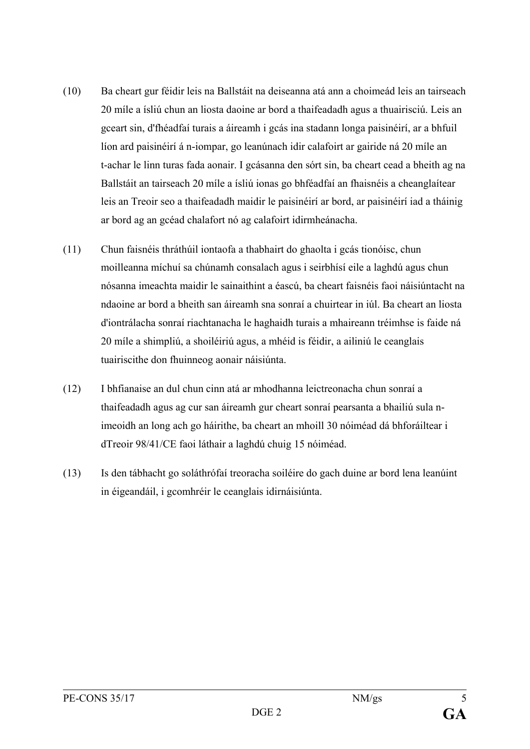- (10) Ba cheart gur féidir leis na Ballstáit na deiseanna atá ann a choimeád leis an tairseach 20 míle a ísliú chun an liosta daoine ar bord a thaifeadadh agus a thuairisciú. Leis an gceart sin, d'fhéadfaí turais a áireamh i gcás ina stadann longa paisinéirí, ar a bhfuil líon ard paisinéirí á n-iompar, go leanúnach idir calafoirt ar gairide ná 20 míle an t-achar le linn turas fada aonair. I gcásanna den sórt sin, ba cheart cead a bheith ag na Ballstáit an tairseach 20 míle a ísliú ionas go bhféadfaí an fhaisnéis a cheanglaítear leis an Treoir seo a thaifeadadh maidir le paisinéirí ar bord, ar paisinéirí iad a tháinig ar bord ag an gcéad chalafort nó ag calafoirt idirmheánacha.
- (11) Chun faisnéis thráthúil iontaofa a thabhairt do ghaolta i gcás tionóisc, chun moilleanna míchuí sa chúnamh consalach agus i seirbhísí eile a laghdú agus chun nósanna imeachta maidir le sainaithint a éascú, ba cheart faisnéis faoi náisiúntacht na ndaoine ar bord a bheith san áireamh sna sonraí a chuirtear in iúl. Ba cheart an liosta d'iontrálacha sonraí riachtanacha le haghaidh turais a mhaireann tréimhse is faide ná 20 míle a shimpliú, a shoiléiriú agus, a mhéid is féidir, a ailiniú le ceanglais tuairiscithe don fhuinneog aonair náisiúnta.
- (12) I bhfianaise an dul chun cinn atá ar mhodhanna leictreonacha chun sonraí a thaifeadadh agus ag cur san áireamh gur cheart sonraí pearsanta a bhailiú sula nimeoidh an long ach go háirithe, ba cheart an mhoill 30 nóiméad dá bhforáiltear i dTreoir 98/41/CE faoi láthair a laghdú chuig 15 nóiméad.
- (13) Is den tábhacht go soláthrófaí treoracha soiléire do gach duine ar bord lena leanúint in éigeandáil, i gcomhréir le ceanglais idirnáisiúnta.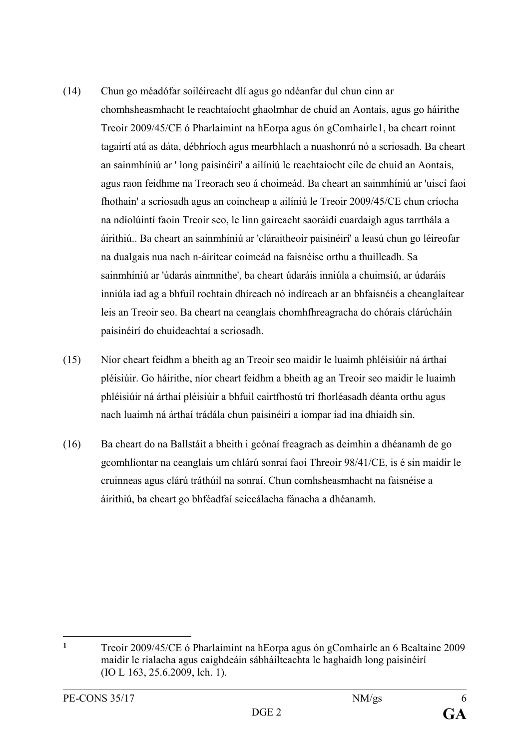- (14) Chun go méadófar soiléireacht dlí agus go ndéanfar dul chun cinn ar chomhsheasmhacht le reachtaíocht ghaolmhar de chuid an Aontais, agus go háirithe Treoir 2009/45/CE ó Pharlaimint na hEorpa agus ón gComhairl[e1](#page-6-0), ba cheart roinnt tagairtí atá as dáta, débhríoch agus mearbhlach a nuashonrú nó a scriosadh. Ba cheart an sainmhíniú ar ' long paisinéirí' a ailíniú le reachtaíocht eile de chuid an Aontais, agus raon feidhme na Treorach seo á choimeád. Ba cheart an sainmhíniú ar 'uiscí faoi fhothain' a scriosadh agus an coincheap a ailíniú le Treoir 2009/45/CE chun críocha na ndíolúintí faoin Treoir seo, le linn gaireacht saoráidí cuardaigh agus tarrthála a áirithiú.. Ba cheart an sainmhíniú ar 'cláraitheoir paisinéirí' a leasú chun go léireofar na dualgais nua nach n-áirítear coimeád na faisnéise orthu a thuilleadh. Sa sainmhíniú ar 'údarás ainmnithe', ba cheart údaráis inniúla a chuimsiú, ar údaráis inniúla iad ag a bhfuil rochtain dhíreach nó indíreach ar an bhfaisnéis a cheanglaítear leis an Treoir seo. Ba cheart na ceanglais chomhfhreagracha do chórais clárúcháin paisinéirí do chuideachtaí a scriosadh.
- (15) Níor cheart feidhm a bheith ag an Treoir seo maidir le luaimh phléisiúir ná árthaí pléisiúir. Go háirithe, níor cheart feidhm a bheith ag an Treoir seo maidir le luaimh phléisiúir ná árthaí pléisiúir a bhfuil cairtfhostú trí fhorléasadh déanta orthu agus nach luaimh ná árthaí trádála chun paisinéirí a iompar iad ina dhiaidh sin.
- (16) Ba cheart do na Ballstáit a bheith i gcónaí freagrach as deimhin a dhéanamh de go gcomhlíontar na ceanglais um chlárú sonraí faoi Threoir 98/41/CE, is é sin maidir le cruinneas agus clárú tráthúil na sonraí. Chun comhsheasmhacht na faisnéise a áirithiú, ba cheart go bhféadfaí seiceálacha fánacha a dhéanamh.

<span id="page-6-0"></span> $\mathbf{1}$ **<sup>1</sup>** Treoir 2009/45/CE ó Pharlaimint na hEorpa agus ón gComhairle an 6 Bealtaine 2009 maidir le rialacha agus caighdeáin sábháilteachta le haghaidh long paisinéirí (IO L 163, 25.6.2009, lch. 1).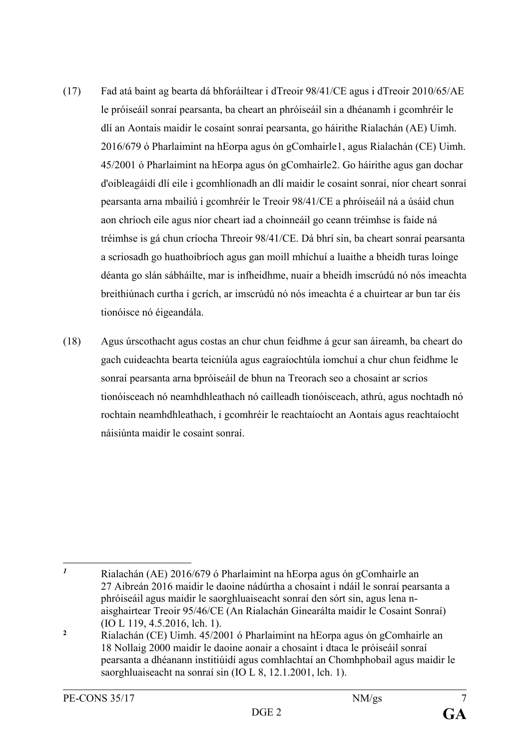- (17) Fad atá baint ag bearta dá bhforáiltear i dTreoir 98/41/CE agus i dTreoir 2010/65/AE le próiseáil sonraí pearsanta, ba cheart an phróiseáil sin a dhéanamh i gcomhréir le dlí an Aontais maidir le cosaint sonraí pearsanta, go háirithe Rialachán (AE) Uimh. 2016/679 ó Pharlaimint na hEorpa agus ón gComhairle[1,](#page-7-0) agus Rialachán (CE) Uimh. 45/2001 ó Pharlaimint na hEorpa agus ón gComhairle[2.](#page-7-1) Go háirithe agus gan dochar d'oibleagáidí dlí eile i gcomhlíonadh an dlí maidir le cosaint sonraí, níor cheart sonraí pearsanta arna mbailiú i gcomhréir le Treoir 98/41/CE a phróiseáil ná a úsáid chun aon chríoch eile agus níor cheart iad a choinneáil go ceann tréimhse is faide ná tréimhse is gá chun críocha Threoir 98/41/CE. Dá bhrí sin, ba cheart sonraí pearsanta a scriosadh go huathoibríoch agus gan moill mhíchuí a luaithe a bheidh turas loinge déanta go slán sábháilte, mar is infheidhme, nuair a bheidh imscrúdú nó nós imeachta breithiúnach curtha i gcrích, ar imscrúdú nó nós imeachta é a chuirtear ar bun tar éis tionóisce nó éigeandála.
- (18) Agus úrscothacht agus costas an chur chun feidhme á gcur san áireamh, ba cheart do gach cuideachta bearta teicniúla agus eagraíochtúla iomchuí a chur chun feidhme le sonraí pearsanta arna bpróiseáil de bhun na Treorach seo a chosaint ar scrios tionóisceach nó neamhdhleathach nó cailleadh tionóisceach, athrú, agus nochtadh nó rochtain neamhdhleathach, i gcomhréir le reachtaíocht an Aontais agus reachtaíocht náisiúnta maidir le cosaint sonraí.

<span id="page-7-0"></span> $\mathbf{I}$ *<sup>1</sup>* Rialachán (AE) 2016/679 ó Pharlaimint na hEorpa agus ón gComhairle an 27 Aibreán 2016 maidir le daoine nádúrtha a chosaint i ndáil le sonraí pearsanta a phróiseáil agus maidir le saorghluaiseacht sonraí den sórt sin, agus lena naisghairtear Treoir 95/46/CE (An Rialachán Ginearálta maidir le Cosaint Sonraí) (IO L 119, 4.5.2016, lch. 1).

<span id="page-7-1"></span>**<sup>2</sup>** Rialachán (CE) Uimh. 45/2001 ó Pharlaimint na hEorpa agus ón gComhairle an 18 Nollaig 2000 maidir le daoine aonair a chosaint i dtaca le próiseáil sonraí pearsanta a dhéanann institiúidí agus comhlachtaí an Chomhphobail agus maidir le saorghluaiseacht na sonraí sin (IO L 8, 12.1.2001, lch. 1).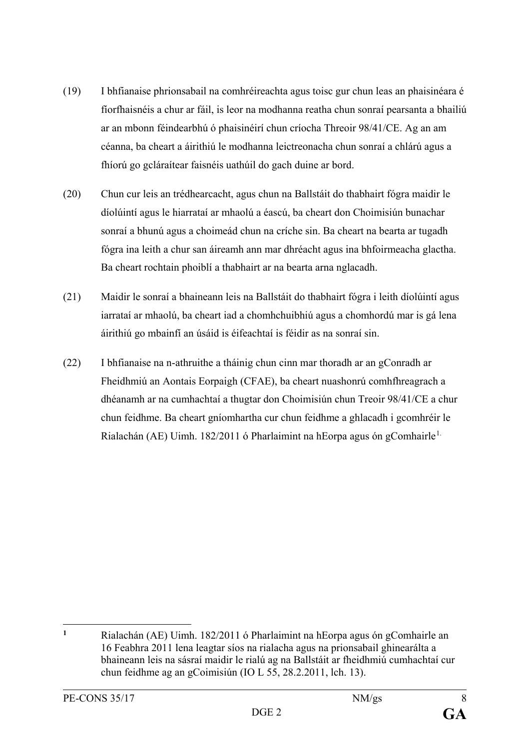- (19) I bhfianaise phrionsabail na comhréireachta agus toisc gur chun leas an phaisinéara é fíorfhaisnéis a chur ar fáil, is leor na modhanna reatha chun sonraí pearsanta a bhailiú ar an mbonn féindearbhú ó phaisinéirí chun críocha Threoir 98/41/CE. Ag an am céanna, ba cheart a áirithiú le modhanna leictreonacha chun sonraí a chlárú agus a fhíorú go gcláraítear faisnéis uathúil do gach duine ar bord.
- (20) Chun cur leis an trédhearcacht, agus chun na Ballstáit do thabhairt fógra maidir le díolúintí agus le hiarrataí ar mhaolú a éascú, ba cheart don Choimisiún bunachar sonraí a bhunú agus a choimeád chun na críche sin. Ba cheart na bearta ar tugadh fógra ina leith a chur san áireamh ann mar dhréacht agus ina bhfoirmeacha glactha. Ba cheart rochtain phoiblí a thabhairt ar na bearta arna nglacadh.
- (21) Maidir le sonraí a bhaineann leis na Ballstáit do thabhairt fógra i leith díolúintí agus iarrataí ar mhaolú, ba cheart iad a chomhchuibhiú agus a chomhordú mar is gá lena áirithiú go mbainfí an úsáid is éifeachtaí is féidir as na sonraí sin.
- (22) I bhfianaise na n-athruithe a tháinig chun cinn mar thoradh ar an gConradh ar Fheidhmiú an Aontais Eorpaigh (CFAE), ba cheart nuashonrú comhfhreagrach a dhéanamh ar na cumhachtaí a thugtar don Choimisiún chun Treoir 98/41/CE a chur chun feidhme. Ba cheart gníomhartha cur chun feidhme a ghlacadh i gcomhréir le Rialachán (AE) Uimh. [1](#page-8-0)82/2011 ó Pharlaimint na hEorpa agus ón gComhairle<sup>1.</sup>

<span id="page-8-0"></span><sup>&</sup>lt;u>.</u> **<sup>1</sup>** Rialachán (AE) Uimh. 182/2011 ó Pharlaimint na hEorpa agus ón gComhairle an 16 Feabhra 2011 lena leagtar síos na rialacha agus na prionsabail ghinearálta a bhaineann leis na sásraí maidir le rialú ag na Ballstáit ar fheidhmiú cumhachtaí cur chun feidhme ag an gCoimisiún (IO L 55, 28.2.2011, lch. 13).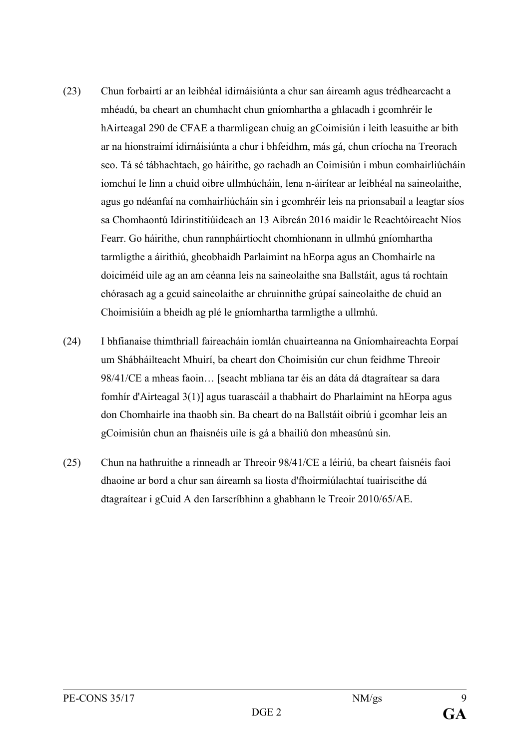- (23) Chun forbairtí ar an leibhéal idirnáisiúnta a chur san áireamh agus trédhearcacht a mhéadú, ba cheart an chumhacht chun gníomhartha a ghlacadh i gcomhréir le hAirteagal 290 de CFAE a tharmligean chuig an gCoimisiún i leith leasuithe ar bith ar na hionstraimí idirnáisiúnta a chur i bhfeidhm, más gá, chun críocha na Treorach seo. Tá sé tábhachtach, go háirithe, go rachadh an Coimisiún i mbun comhairliúcháin iomchuí le linn a chuid oibre ullmhúcháin, lena n-áirítear ar leibhéal na saineolaithe, agus go ndéanfaí na comhairliúcháin sin i gcomhréir leis na prionsabail a leagtar síos sa Chomhaontú Idirinstitiúideach an 13 Aibreán 2016 maidir le Reachtóireacht Níos Fearr. Go háirithe, chun rannpháirtíocht chomhionann in ullmhú gníomhartha tarmligthe a áirithiú, gheobhaidh Parlaimint na hEorpa agus an Chomhairle na doiciméid uile ag an am céanna leis na saineolaithe sna Ballstáit, agus tá rochtain chórasach ag a gcuid saineolaithe ar chruinnithe grúpaí saineolaithe de chuid an Choimisiúin a bheidh ag plé le gníomhartha tarmligthe a ullmhú.
- (24) I bhfianaise thimthriall faireacháin iomlán chuairteanna na Gníomhaireachta Eorpaí um Shábháilteacht Mhuirí, ba cheart don Choimisiún cur chun feidhme Threoir 98/41/CE a mheas faoin… [seacht mbliana tar éis an dáta dá dtagraítear sa dara fomhír d'Airteagal 3(1)] agus tuarascáil a thabhairt do Pharlaimint na hEorpa agus don Chomhairle ina thaobh sin. Ba cheart do na Ballstáit oibriú i gcomhar leis an gCoimisiún chun an fhaisnéis uile is gá a bhailiú don mheasúnú sin.
- (25) Chun na hathruithe a rinneadh ar Threoir 98/41/CE a léiriú, ba cheart faisnéis faoi dhaoine ar bord a chur san áireamh sa liosta d'fhoirmiúlachtaí tuairiscithe dá dtagraítear i gCuid A den Iarscríbhinn a ghabhann le Treoir 2010/65/AE.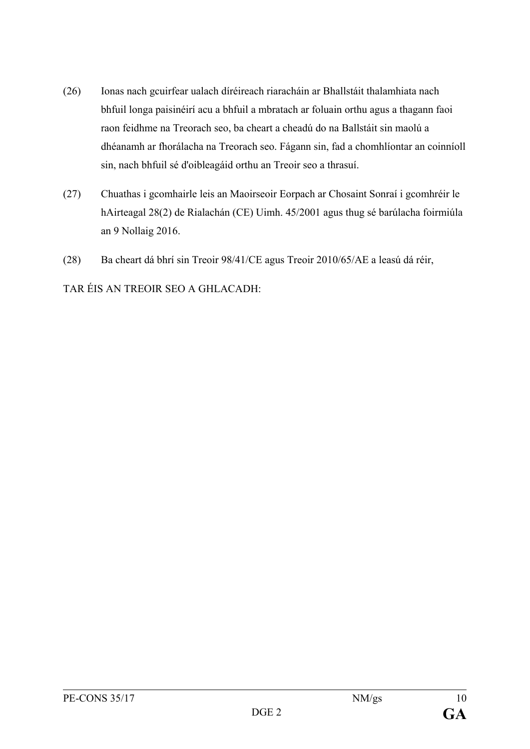- (26) Ionas nach gcuirfear ualach díréireach riaracháin ar Bhallstáit thalamhiata nach bhfuil longa paisinéirí acu a bhfuil a mbratach ar foluain orthu agus a thagann faoi raon feidhme na Treorach seo, ba cheart a cheadú do na Ballstáit sin maolú a dhéanamh ar fhorálacha na Treorach seo. Fágann sin, fad a chomhlíontar an coinníoll sin, nach bhfuil sé d'oibleagáid orthu an Treoir seo a thrasuí.
- (27) Chuathas i gcomhairle leis an Maoirseoir Eorpach ar Chosaint Sonraí i gcomhréir le hAirteagal 28(2) de Rialachán (CE) Uimh. 45/2001 agus thug sé barúlacha foirmiúla an 9 Nollaig 2016.
- (28) Ba cheart dá bhrí sin Treoir 98/41/CE agus Treoir 2010/65/AE a leasú dá réir,

TAR ÉIS AN TREOIR SEO A GHLACADH: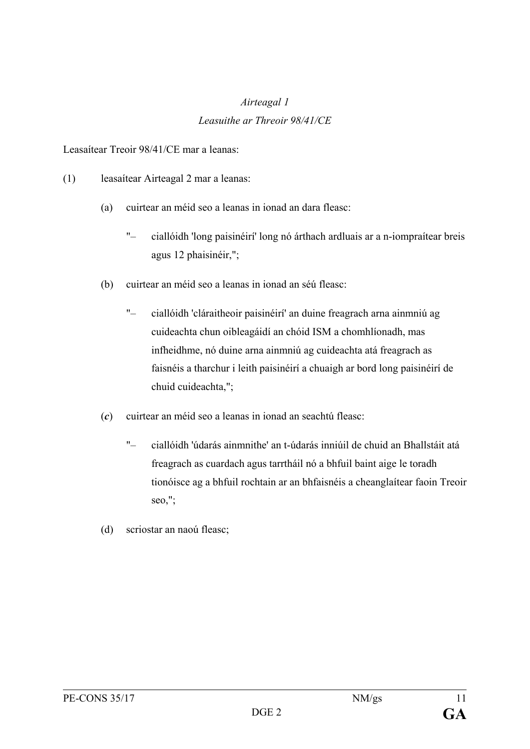# *Airteagal 1 Leasuithe ar Threoir 98/41/CE*

Leasaítear Treoir 98/41/CE mar a leanas:

- (1) leasaítear Airteagal 2 mar a leanas:
	- (a) cuirtear an méid seo a leanas in ionad an dara fleasc:
		- "– ciallóidh 'long paisinéirí' long nó árthach ardluais ar a n-iompraítear breis agus 12 phaisinéir,";
	- (b) cuirtear an méid seo a leanas in ionad an séú fleasc:
		- "– ciallóidh 'cláraitheoir paisinéirí' an duine freagrach arna ainmniú ag cuideachta chun oibleagáidí an chóid ISM a chomhlíonadh, mas infheidhme, nó duine arna ainmniú ag cuideachta atá freagrach as faisnéis a tharchur i leith paisinéirí a chuaigh ar bord long paisinéirí de chuid cuideachta,";
	- (*c*) cuirtear an méid seo a leanas in ionad an seachtú fleasc:
		- "– ciallóidh 'údarás ainmnithe' an t-údarás inniúil de chuid an Bhallstáit atá freagrach as cuardach agus tarrtháil nó a bhfuil baint aige le toradh tionóisce ag a bhfuil rochtain ar an bhfaisnéis a cheanglaítear faoin Treoir seo,";
	- (d) scriostar an naoú fleasc;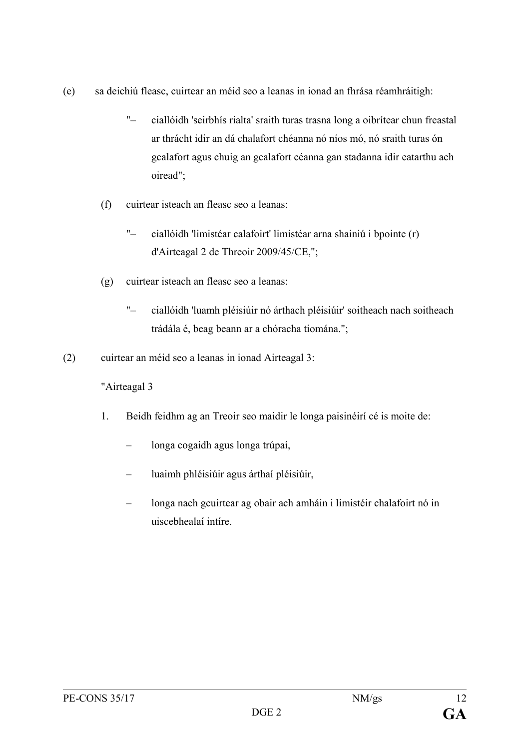- (e) sa deichiú fleasc, cuirtear an méid seo a leanas in ionad an fhrása réamhráitigh:
	- "– ciallóidh 'seirbhís rialta' sraith turas trasna long a oibrítear chun freastal ar thrácht idir an dá chalafort chéanna nó níos mó, nó sraith turas ón gcalafort agus chuig an gcalafort céanna gan stadanna idir eatarthu ach oiread";
	- (f) cuirtear isteach an fleasc seo a leanas:
		- "– ciallóidh 'limistéar calafoirt' limistéar arna shainiú i bpointe (r) d'Airteagal 2 de Threoir 2009/45/CE,";
	- (g) cuirtear isteach an fleasc seo a leanas:
		- "– ciallóidh 'luamh pléisiúir nó árthach pléisiúir' soitheach nach soitheach trádála é, beag beann ar a chóracha tiomána.";
- (2) cuirtear an méid seo a leanas in ionad Airteagal 3:

#### "Airteagal 3

- 1. Beidh feidhm ag an Treoir seo maidir le longa paisinéirí cé is moite de:
	- longa cogaidh agus longa trúpaí,
	- luaimh phléisiúir agus árthaí pléisiúir,
	- longa nach gcuirtear ag obair ach amháin i limistéir chalafoirt nó in uiscebhealaí intíre.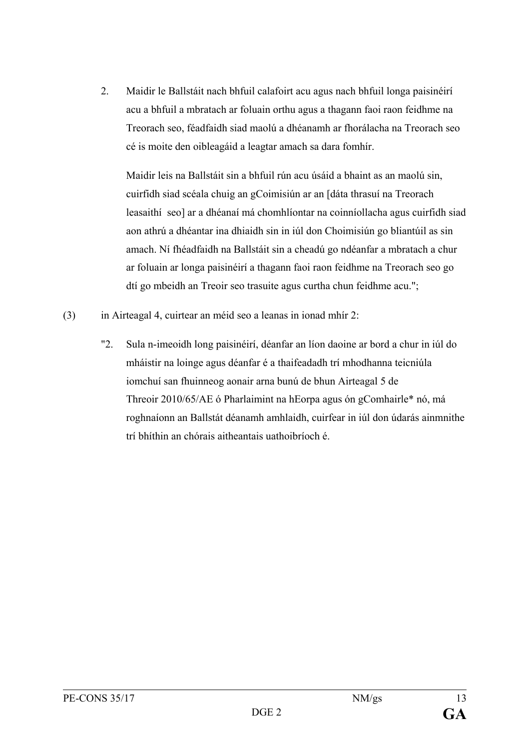2. Maidir le Ballstáit nach bhfuil calafoirt acu agus nach bhfuil longa paisinéirí acu a bhfuil a mbratach ar foluain orthu agus a thagann faoi raon feidhme na Treorach seo, féadfaidh siad maolú a dhéanamh ar fhorálacha na Treorach seo cé is moite den oibleagáid a leagtar amach sa dara fomhír.

Maidir leis na Ballstáit sin a bhfuil rún acu úsáid a bhaint as an maolú sin, cuirfidh siad scéala chuig an gCoimisiún ar an [dáta thrasuí na Treorach leasaithí seo] ar a dhéanaí má chomhlíontar na coinníollacha agus cuirfidh siad aon athrú a dhéantar ina dhiaidh sin in iúl don Choimisiún go bliantúil as sin amach. Ní fhéadfaidh na Ballstáit sin a cheadú go ndéanfar a mbratach a chur ar foluain ar longa paisinéirí a thagann faoi raon feidhme na Treorach seo go dtí go mbeidh an Treoir seo trasuite agus curtha chun feidhme acu.";

- (3) in Airteagal 4, cuirtear an méid seo a leanas in ionad mhír 2:
	- "2. Sula n-imeoidh long paisinéirí, déanfar an líon daoine ar bord a chur in iúl do mháistir na loinge agus déanfar é a thaifeadadh trí mhodhanna teicniúla iomchuí san fhuinneog aonair arna bunú de bhun Airteagal 5 de Threoir 2010/65/AE ó Pharlaimint na hEorpa agus ón gComhairle\* nó, má roghnaíonn an Ballstát déanamh amhlaidh, cuirfear in iúl don údarás ainmnithe trí bhíthin an chórais aitheantais uathoibríoch é.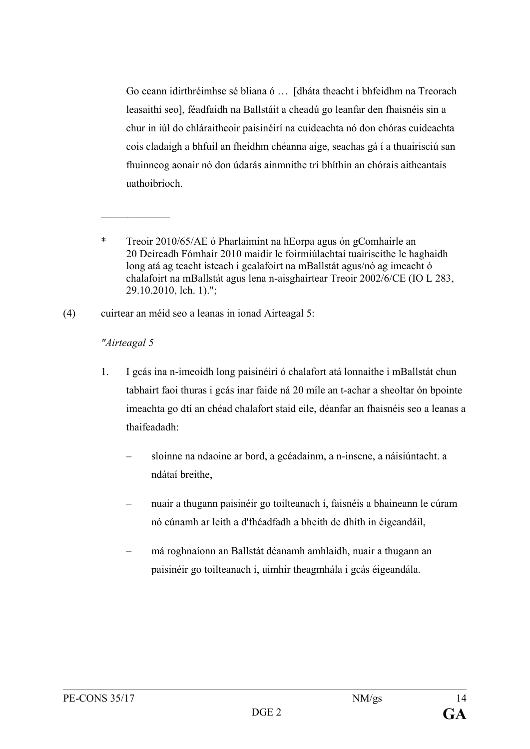Go ceann idirthréimhse sé bliana ó … [dháta theacht i bhfeidhm na Treorach leasaithí seo], féadfaidh na Ballstáit a cheadú go leanfar den fhaisnéis sin a chur in iúl do chláraitheoir paisinéirí na cuideachta nó don chóras cuideachta cois cladaigh a bhfuil an fheidhm chéanna aige, seachas gá í a thuairisciú san fhuinneog aonair nó don údarás ainmnithe trí bhíthin an chórais aitheantais uathoibríoch.

\* Treoir 2010/65/AE ó Pharlaimint na hEorpa agus ón gComhairle an 20 Deireadh Fómhair 2010 maidir le foirmiúlachtaí tuairiscithe le haghaidh long atá ag teacht isteach i gcalafoirt na mBallstát agus/nó ag imeacht ó chalafoirt na mBallstát agus lena n-aisghairtear Treoir 2002/6/CE (IO L 283, 29.10.2010, lch. 1).";

(4) cuirtear an méid seo a leanas in ionad Airteagal 5:

#### *"Airteagal 5*

 $\mathcal{L}_\text{max}$ 

- 1. I gcás ina n-imeoidh long paisinéirí ó chalafort atá lonnaithe i mBallstát chun tabhairt faoi thuras i gcás inar faide ná 20 míle an t-achar a sheoltar ón bpointe imeachta go dtí an chéad chalafort staid eile, déanfar an fhaisnéis seo a leanas a thaifeadadh:
	- sloinne na ndaoine ar bord, a gcéadainm, a n-inscne, a náisiúntacht. a ndátaí breithe,
	- nuair a thugann paisinéir go toilteanach í, faisnéis a bhaineann le cúram nó cúnamh ar leith a d'fhéadfadh a bheith de dhíth in éigeandáil,
	- má roghnaíonn an Ballstát déanamh amhlaidh, nuair a thugann an paisinéir go toilteanach í, uimhir theagmhála i gcás éigeandála.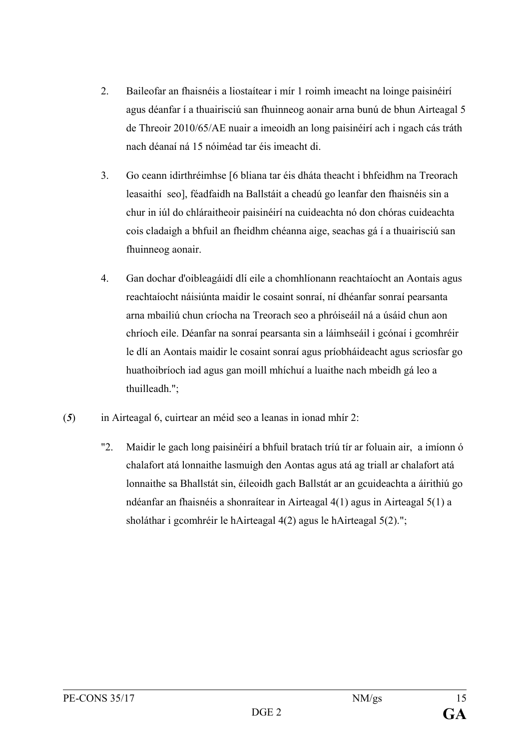- 2. Baileofar an fhaisnéis a liostaítear i mír 1 roimh imeacht na loinge paisinéirí agus déanfar í a thuairisciú san fhuinneog aonair arna bunú de bhun Airteagal 5 de Threoir 2010/65/AE nuair a imeoidh an long paisinéirí ach i ngach cás tráth nach déanaí ná 15 nóiméad tar éis imeacht di.
- 3. Go ceann idirthréimhse [6 bliana tar éis dháta theacht i bhfeidhm na Treorach leasaithí seo], féadfaidh na Ballstáit a cheadú go leanfar den fhaisnéis sin a chur in iúl do chláraitheoir paisinéirí na cuideachta nó don chóras cuideachta cois cladaigh a bhfuil an fheidhm chéanna aige, seachas gá í a thuairisciú san fhuinneog aonair.
- 4. Gan dochar d'oibleagáidí dlí eile a chomhlíonann reachtaíocht an Aontais agus reachtaíocht náisiúnta maidir le cosaint sonraí, ní dhéanfar sonraí pearsanta arna mbailiú chun críocha na Treorach seo a phróiseáil ná a úsáid chun aon chríoch eile. Déanfar na sonraí pearsanta sin a láimhseáil i gcónaí i gcomhréir le dlí an Aontais maidir le cosaint sonraí agus príobháideacht agus scriosfar go huathoibríoch iad agus gan moill mhíchuí a luaithe nach mbeidh gá leo a thuilleadh.";
- (*5*) in Airteagal 6, cuirtear an méid seo a leanas in ionad mhír 2:
	- "2. Maidir le gach long paisinéirí a bhfuil bratach tríú tír ar foluain air, a imíonn ó chalafort atá lonnaithe lasmuigh den Aontas agus atá ag triall ar chalafort atá lonnaithe sa Bhallstát sin, éileoidh gach Ballstát ar an gcuideachta a áirithiú go ndéanfar an fhaisnéis a shonraítear in Airteagal 4(1) agus in Airteagal 5(1) a sholáthar i gcomhréir le hAirteagal 4(2) agus le hAirteagal 5(2).";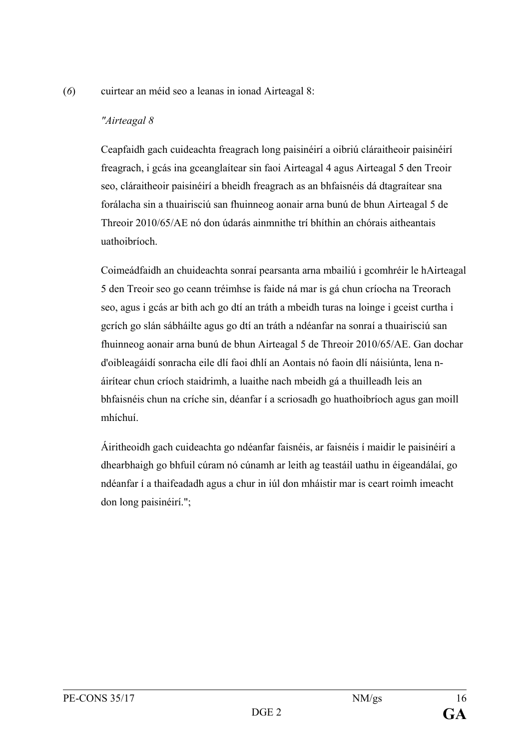#### (*6*) cuirtear an méid seo a leanas in ionad Airteagal 8:

#### *"Airteagal 8*

Ceapfaidh gach cuideachta freagrach long paisinéirí a oibriú cláraitheoir paisinéirí freagrach, i gcás ina gceanglaítear sin faoi Airteagal 4 agus Airteagal 5 den Treoir seo, cláraitheoir paisinéirí a bheidh freagrach as an bhfaisnéis dá dtagraítear sna forálacha sin a thuairisciú san fhuinneog aonair arna bunú de bhun Airteagal 5 de Threoir 2010/65/AE nó don údarás ainmnithe trí bhíthin an chórais aitheantais uathoibríoch.

Coimeádfaidh an chuideachta sonraí pearsanta arna mbailiú i gcomhréir le hAirteagal 5 den Treoir seo go ceann tréimhse is faide ná mar is gá chun críocha na Treorach seo, agus i gcás ar bith ach go dtí an tráth a mbeidh turas na loinge i gceist curtha i gcrích go slán sábháilte agus go dtí an tráth a ndéanfar na sonraí a thuairisciú san fhuinneog aonair arna bunú de bhun Airteagal 5 de Threoir 2010/65/AE. Gan dochar d'oibleagáidí sonracha eile dlí faoi dhlí an Aontais nó faoin dlí náisiúnta, lena náirítear chun críoch staidrimh, a luaithe nach mbeidh gá a thuilleadh leis an bhfaisnéis chun na críche sin, déanfar í a scriosadh go huathoibríoch agus gan moill mhíchuí.

Áiritheoidh gach cuideachta go ndéanfar faisnéis, ar faisnéis í maidir le paisinéirí a dhearbhaigh go bhfuil cúram nó cúnamh ar leith ag teastáil uathu in éigeandálaí, go ndéanfar í a thaifeadadh agus a chur in iúl don mháistir mar is ceart roimh imeacht don long paisinéirí.";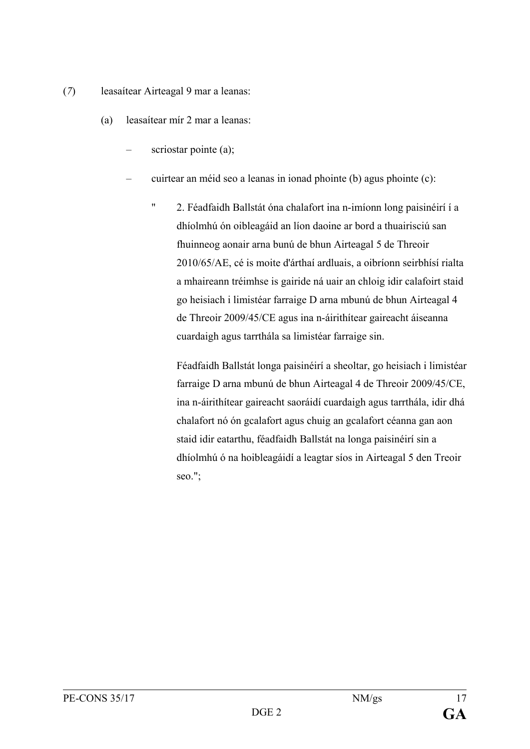- (*7*) leasaítear Airteagal 9 mar a leanas:
	- (a) leasaítear mír 2 mar a leanas:
		- scriostar pointe (a);
		- cuirtear an méid seo a leanas in ionad phointe (b) agus phointe (c):
			- " 2. Féadfaidh Ballstát óna chalafort ina n-imíonn long paisinéirí í a dhíolmhú ón oibleagáid an líon daoine ar bord a thuairisciú san fhuinneog aonair arna bunú de bhun Airteagal 5 de Threoir 2010/65/AE, cé is moite d'árthaí ardluais, a oibríonn seirbhísí rialta a mhaireann tréimhse is gairide ná uair an chloig idir calafoirt staid go heisiach i limistéar farraige D arna mbunú de bhun Airteagal 4 de Threoir 2009/45/CE agus ina n-áirithítear gaireacht áiseanna cuardaigh agus tarrthála sa limistéar farraige sin.

Féadfaidh Ballstát longa paisinéirí a sheoltar, go heisiach i limistéar farraige D arna mbunú de bhun Airteagal 4 de Threoir 2009/45/CE, ina n-áirithítear gaireacht saoráidí cuardaigh agus tarrthála, idir dhá chalafort nó ón gcalafort agus chuig an gcalafort céanna gan aon staid idir eatarthu, féadfaidh Ballstát na longa paisinéirí sin a dhíolmhú ó na hoibleagáidí a leagtar síos in Airteagal 5 den Treoir seo.";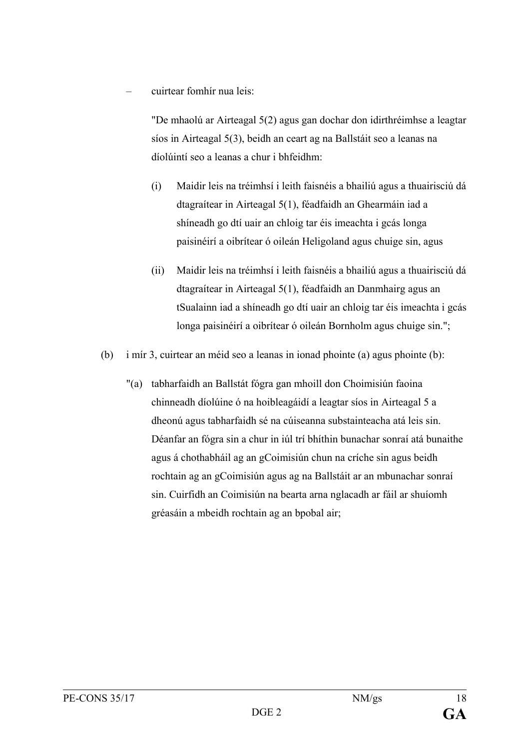– cuirtear fomhír nua leis:

"De mhaolú ar Airteagal 5(2) agus gan dochar don idirthréimhse a leagtar síos in Airteagal 5(3), beidh an ceart ag na Ballstáit seo a leanas na díolúintí seo a leanas a chur i bhfeidhm:

- (i) Maidir leis na tréimhsí i leith faisnéis a bhailiú agus a thuairisciú dá dtagraítear in Airteagal 5(1), féadfaidh an Ghearmáin iad a shíneadh go dtí uair an chloig tar éis imeachta i gcás longa paisinéirí a oibrítear ó oileán Heligoland agus chuige sin, agus
- (ii) Maidir leis na tréimhsí i leith faisnéis a bhailiú agus a thuairisciú dá dtagraítear in Airteagal 5(1), féadfaidh an Danmhairg agus an tSualainn iad a shíneadh go dtí uair an chloig tar éis imeachta i gcás longa paisinéirí a oibrítear ó oileán Bornholm agus chuige sin.";
- (b) i mír 3, cuirtear an méid seo a leanas in ionad phointe (a) agus phointe (b):
	- "(a) tabharfaidh an Ballstát fógra gan mhoill don Choimisiún faoina chinneadh díolúine ó na hoibleagáidí a leagtar síos in Airteagal 5 a dheonú agus tabharfaidh sé na cúiseanna substainteacha atá leis sin. Déanfar an fógra sin a chur in iúl trí bhíthin bunachar sonraí atá bunaithe agus á chothabháil ag an gCoimisiún chun na críche sin agus beidh rochtain ag an gCoimisiún agus ag na Ballstáit ar an mbunachar sonraí sin. Cuirfidh an Coimisiún na bearta arna nglacadh ar fáil ar shuíomh gréasáin a mbeidh rochtain ag an bpobal air;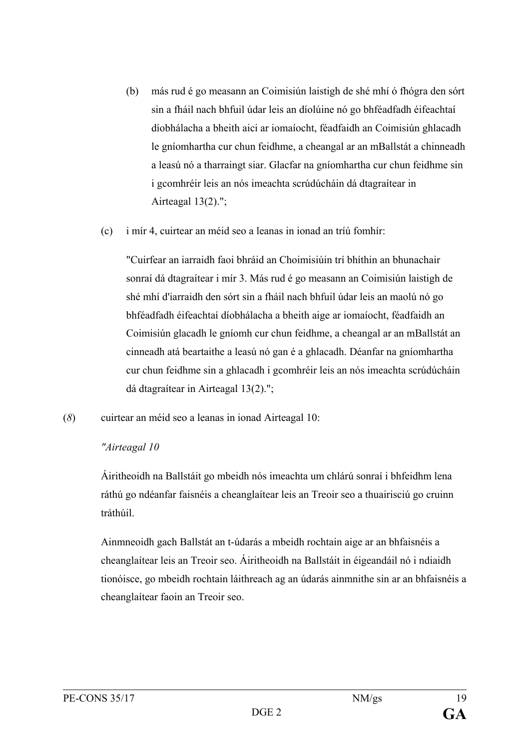- (b) más rud é go measann an Coimisiún laistigh de shé mhí ó fhógra den sórt sin a fháil nach bhfuil údar leis an díolúine nó go bhféadfadh éifeachtaí díobhálacha a bheith aici ar iomaíocht, féadfaidh an Coimisiún ghlacadh le gníomhartha cur chun feidhme, a cheangal ar an mBallstát a chinneadh a leasú nó a tharraingt siar. Glacfar na gníomhartha cur chun feidhme sin i gcomhréir leis an nós imeachta scrúdúcháin dá dtagraítear in Airteagal  $13(2)$ .";
- (c) i mír 4, cuirtear an méid seo a leanas in ionad an tríú fomhír:

"Cuirfear an iarraidh faoi bhráid an Choimisiúin trí bhíthin an bhunachair sonraí dá dtagraítear i mír 3. Más rud é go measann an Coimisiún laistigh de shé mhí d'iarraidh den sórt sin a fháil nach bhfuil údar leis an maolú nó go bhféadfadh éifeachtaí díobhálacha a bheith aige ar iomaíocht, féadfaidh an Coimisiún glacadh le gníomh cur chun feidhme, a cheangal ar an mBallstát an cinneadh atá beartaithe a leasú nó gan é a ghlacadh. Déanfar na gníomhartha cur chun feidhme sin a ghlacadh i gcomhréir leis an nós imeachta scrúdúcháin dá dtagraítear in Airteagal 13(2).";

(*8*) cuirtear an méid seo a leanas in ionad Airteagal 10:

#### *"Airteagal 10*

Áiritheoidh na Ballstáit go mbeidh nós imeachta um chlárú sonraí i bhfeidhm lena ráthú go ndéanfar faisnéis a cheanglaítear leis an Treoir seo a thuairisciú go cruinn tráthúil.

Ainmneoidh gach Ballstát an t-údarás a mbeidh rochtain aige ar an bhfaisnéis a cheanglaítear leis an Treoir seo. Áiritheoidh na Ballstáit in éigeandáil nó i ndiaidh tionóisce, go mbeidh rochtain láithreach ag an údarás ainmnithe sin ar an bhfaisnéis a cheanglaítear faoin an Treoir seo.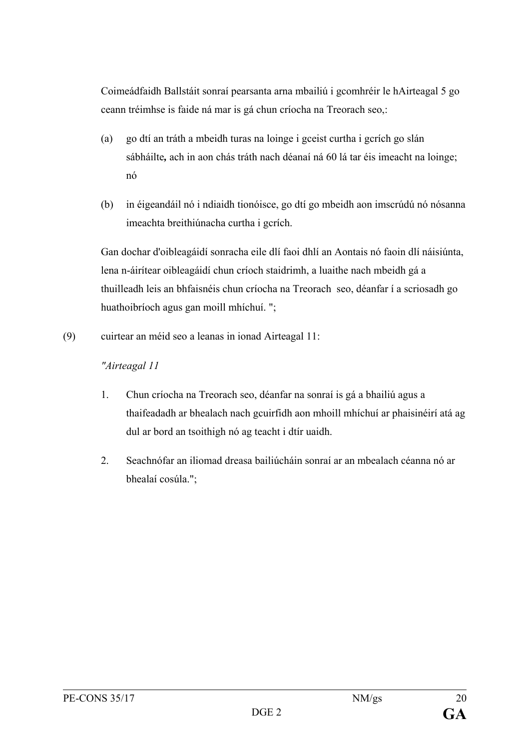Coimeádfaidh Ballstáit sonraí pearsanta arna mbailiú i gcomhréir le hAirteagal 5 go ceann tréimhse is faide ná mar is gá chun críocha na Treorach seo,:

- (a) go dtí an tráth a mbeidh turas na loinge i gceist curtha i gcrích go slán sábháilte*,* ach in aon chás tráth nach déanaí ná 60 lá tar éis imeacht na loinge; nó
- (b) in éigeandáil nó i ndiaidh tionóisce, go dtí go mbeidh aon imscrúdú nó nósanna imeachta breithiúnacha curtha i gcrích.

Gan dochar d'oibleagáidí sonracha eile dlí faoi dhlí an Aontais nó faoin dlí náisiúnta, lena n-áirítear oibleagáidí chun críoch staidrimh, a luaithe nach mbeidh gá a thuilleadh leis an bhfaisnéis chun críocha na Treorach seo, déanfar í a scriosadh go huathoibríoch agus gan moill mhíchuí. ";

(9) cuirtear an méid seo a leanas in ionad Airteagal 11:

## *"Airteagal 11*

- 1. Chun críocha na Treorach seo, déanfar na sonraí is gá a bhailiú agus a thaifeadadh ar bhealach nach gcuirfidh aon mhoill mhíchuí ar phaisinéirí atá ag dul ar bord an tsoithigh nó ag teacht i dtír uaidh.
- 2. Seachnófar an iliomad dreasa bailiúcháin sonraí ar an mbealach céanna nó ar bhealaí cosúla.";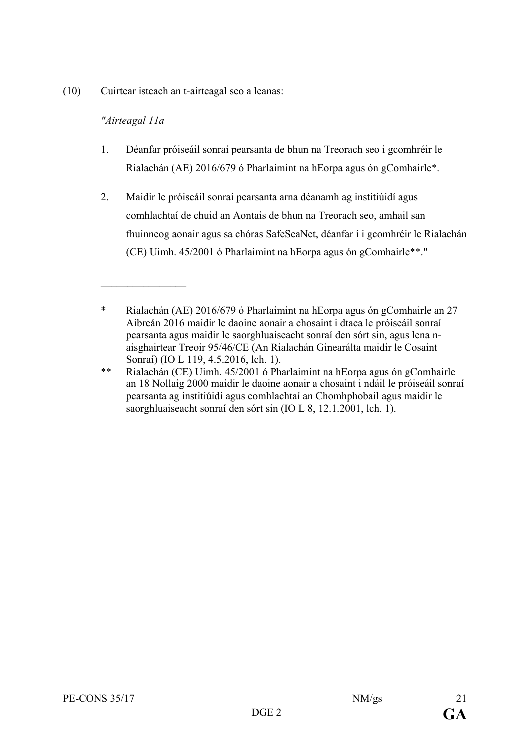(10) Cuirtear isteach an t-airteagal seo a leanas:

## *"Airteagal 11a*

 $\frac{1}{2}$ 

- 1. Déanfar próiseáil sonraí pearsanta de bhun na Treorach seo i gcomhréir le Rialachán (AE) 2016/679 ó Pharlaimint na hEorpa agus ón gComhairle\*.
- 2. Maidir le próiseáil sonraí pearsanta arna déanamh ag institiúidí agus comhlachtaí de chuid an Aontais de bhun na Treorach seo, amhail san fhuinneog aonair agus sa chóras SafeSeaNet, déanfar í i gcomhréir le Rialachán (CE) Uimh. 45/2001 ó Pharlaimint na hEorpa agus ón gComhairle\*\*."

<sup>\*</sup> Rialachán (AE) 2016/679 ó Pharlaimint na hEorpa agus ón gComhairle an 27 Aibreán 2016 maidir le daoine aonair a chosaint i dtaca le próiseáil sonraí pearsanta agus maidir le saorghluaiseacht sonraí den sórt sin, agus lena naisghairtear Treoir 95/46/CE (An Rialachán Ginearálta maidir le Cosaint Sonraí) (IO L 119, 4.5.2016, lch. 1).

<sup>\*\*</sup> Rialachán (CE) Uimh. 45/2001 ó Pharlaimint na hEorpa agus ón gComhairle an 18 Nollaig 2000 maidir le daoine aonair a chosaint i ndáil le próiseáil sonraí pearsanta ag institiúidí agus comhlachtaí an Chomhphobail agus maidir le saorghluaiseacht sonraí den sórt sin (IO L 8, 12.1.2001, lch. 1).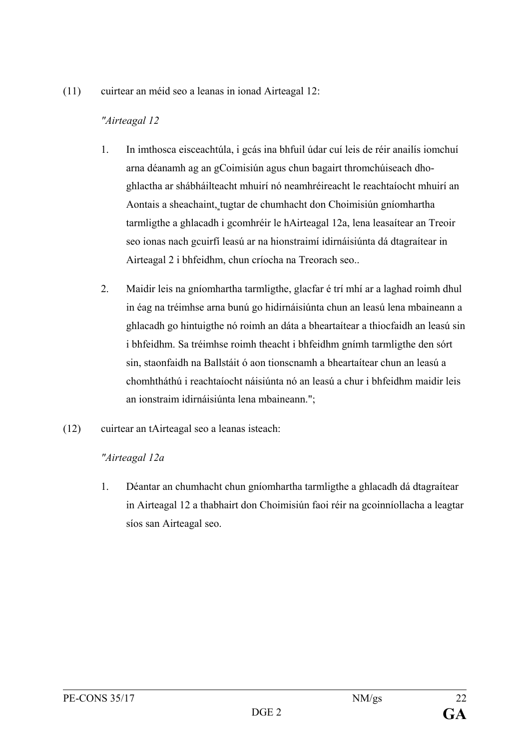(11) cuirtear an méid seo a leanas in ionad Airteagal 12:

## *"Airteagal 12*

- 1. In imthosca eisceachtúla, i gcás ina bhfuil údar cuí leis de réir anailís iomchuí arna déanamh ag an gCoimisiún agus chun bagairt thromchúiseach dhoghlactha ar shábháilteacht mhuirí nó neamhréireacht le reachtaíocht mhuirí an Aontais a sheachaint, tugtar de chumhacht don Choimisiún gníomhartha tarmligthe a ghlacadh i gcomhréir le hAirteagal 12a, lena leasaítear an Treoir seo ionas nach gcuirfí leasú ar na hionstraimí idirnáisiúnta dá dtagraítear in Airteagal 2 i bhfeidhm, chun críocha na Treorach seo..
- 2. Maidir leis na gníomhartha tarmligthe, glacfar é trí mhí ar a laghad roimh dhul in éag na tréimhse arna bunú go hidirnáisiúnta chun an leasú lena mbaineann a ghlacadh go hintuigthe nó roimh an dáta a bheartaítear a thiocfaidh an leasú sin i bhfeidhm. Sa tréimhse roimh theacht i bhfeidhm gnímh tarmligthe den sórt sin, staonfaidh na Ballstáit ó aon tionscnamh a bheartaítear chun an leasú a chomhtháthú i reachtaíocht náisiúnta nó an leasú a chur i bhfeidhm maidir leis an ionstraim idirnáisiúnta lena mbaineann.";
- (12) cuirtear an tAirteagal seo a leanas isteach:

## *"Airteagal 12a*

1. Déantar an chumhacht chun gníomhartha tarmligthe a ghlacadh dá dtagraítear in Airteagal 12 a thabhairt don Choimisiún faoi réir na gcoinníollacha a leagtar síos san Airteagal seo.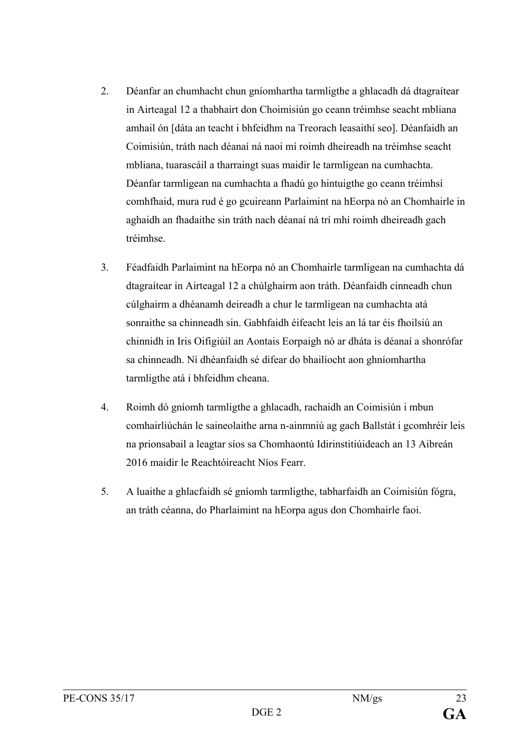- 2. Déanfar an chumhacht chun gníomhartha tarmligthe a ghlacadh dá dtagraítear in Airteagal 12 a thabhairt don Choimisiún go ceann tréimhse seacht mbliana amhail ón [dáta an teacht i bhfeidhm na Treorach leasaithí seo]. Déanfaidh an Coimisiún, tráth nach déanaí ná naoi mí roimh dheireadh na tréimhse seacht mbliana, tuarascáil a tharraingt suas maidir le tarmligean na cumhachta. Déanfar tarmligean na cumhachta a fhadú go hintuigthe go ceann tréimhsí comhfhaid, mura rud é go gcuireann Parlaimint na hEorpa nó an Chomhairle in aghaidh an fhadaithe sin tráth nach déanaí ná trí mhí roimh dheireadh gach tréimhse.
- 3. Féadfaidh Parlaimint na hEorpa nó an Chomhairle tarmligean na cumhachta dá dtagraítear in Airteagal 12 a chúlghairm aon tráth. Déanfaidh cinneadh chun cúlghairm a dhéanamh deireadh a chur le tarmligean na cumhachta atá sonraithe sa chinneadh sin. Gabhfaidh éifeacht leis an lá tar éis fhoilsiú an chinnidh in Iris Oifigiúil an Aontais Eorpaigh nó ar dháta is déanaí a shonrófar sa chinneadh. Ní dhéanfaidh sé difear do bhailíocht aon ghníomhartha tarmligthe atá i bhfeidhm cheana.
- 4. Roimh dó gníomh tarmligthe a ghlacadh, rachaidh an Coimisiún i mbun comhairliúchán le saineolaithe arna n-ainmniú ag gach Ballstát i gcomhréir leis na prionsabail a leagtar síos sa Chomhaontú Idirinstitiúideach an 13 Aibreán 2016 maidir le Reachtóireacht Níos Fearr.
- 5. A luaithe a ghlacfaidh sé gníomh tarmligthe, tabharfaidh an Coimisiún fógra, an tráth céanna, do Pharlaimint na hEorpa agus don Chomhairle faoi.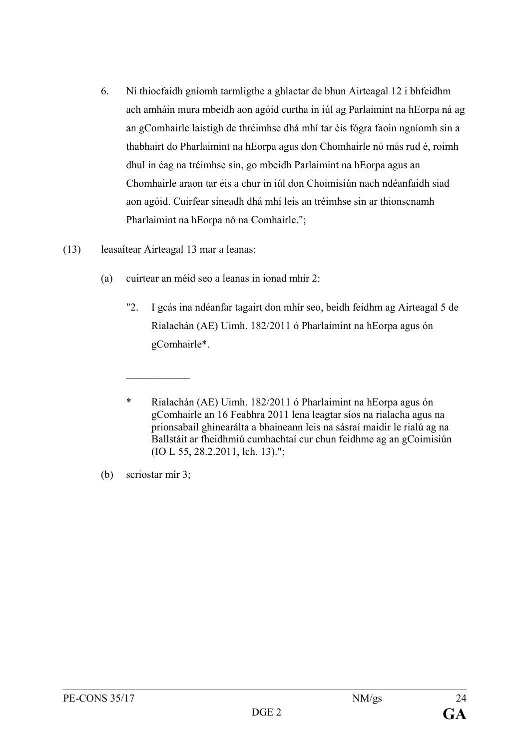- 6. Ní thiocfaidh gníomh tarmligthe a ghlactar de bhun Airteagal 12 i bhfeidhm ach amháin mura mbeidh aon agóid curtha in iúl ag Parlaimint na hEorpa ná ag an gComhairle laistigh de thréimhse dhá mhí tar éis fógra faoin ngníomh sin a thabhairt do Pharlaimint na hEorpa agus don Chomhairle nó más rud é, roimh dhul in éag na tréimhse sin, go mbeidh Parlaimint na hEorpa agus an Chomhairle araon tar éis a chur in iúl don Choimisiún nach ndéanfaidh siad aon agóid. Cuirfear síneadh dhá mhí leis an tréimhse sin ar thionscnamh Pharlaimint na hEorpa nó na Comhairle.";
- (13) leasaítear Airteagal 13 mar a leanas:

 $\frac{1}{2}$ 

- (a) cuirtear an méid seo a leanas in ionad mhír 2:
	- "2. I gcás ina ndéanfar tagairt don mhír seo, beidh feidhm ag Airteagal 5 de Rialachán (AE) Uimh. 182/2011 ó Pharlaimint na hEorpa agus ón gComhairle\*.

<sup>\*</sup> Rialachán (AE) Uimh. 182/2011 ó Pharlaimint na hEorpa agus ón gComhairle an 16 Feabhra 2011 lena leagtar síos na rialacha agus na prionsabail ghinearálta a bhaineann leis na sásraí maidir le rialú ag na Ballstáit ar fheidhmiú cumhachtaí cur chun feidhme ag an gCoimisiún (IO L 55, 28.2.2011, lch. 13).";

<sup>(</sup>b) scriostar mír 3;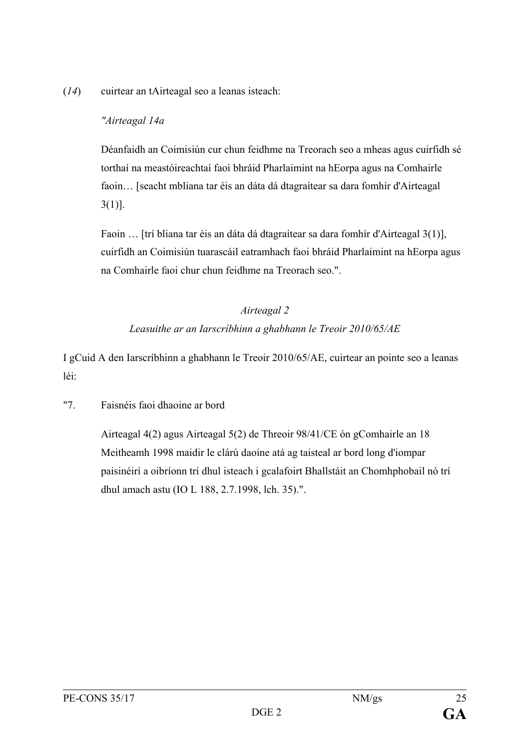(*14*) cuirtear an tAirteagal seo a leanas isteach:

#### *"Airteagal 14a*

Déanfaidh an Coimisiún cur chun feidhme na Treorach seo a mheas agus cuirfidh sé torthaí na meastóireachtaí faoi bhráid Pharlaimint na hEorpa agus na Comhairle faoin… [seacht mbliana tar éis an dáta dá dtagraítear sa dara fomhír d'Airteagal 3(1)].

Faoin … [trí bliana tar éis an dáta dá dtagraítear sa dara fomhír d'Airteagal 3(1)], cuirfidh an Coimisiún tuarascáil eatramhach faoi bhráid Pharlaimint na hEorpa agus na Comhairle faoi chur chun feidhme na Treorach seo.".

## *Airteagal 2*

## *Leasuithe ar an Iarscríbhinn a ghabhann le Treoir 2010/65/AE*

I gCuid A den Iarscríbhinn a ghabhann le Treoir 2010/65/AE, cuirtear an pointe seo a leanas léi:

#### "7. Faisnéis faoi dhaoine ar bord

Airteagal 4(2) agus Airteagal 5(2) de Threoir 98/41/CE ón gComhairle an 18 Meitheamh 1998 maidir le clárú daoine atá ag taisteal ar bord long d'iompar paisinéirí a oibríonn trí dhul isteach i gcalafoirt Bhallstáit an Chomhphobail nó trí dhul amach astu (IO L 188, 2.7.1998, lch. 35).".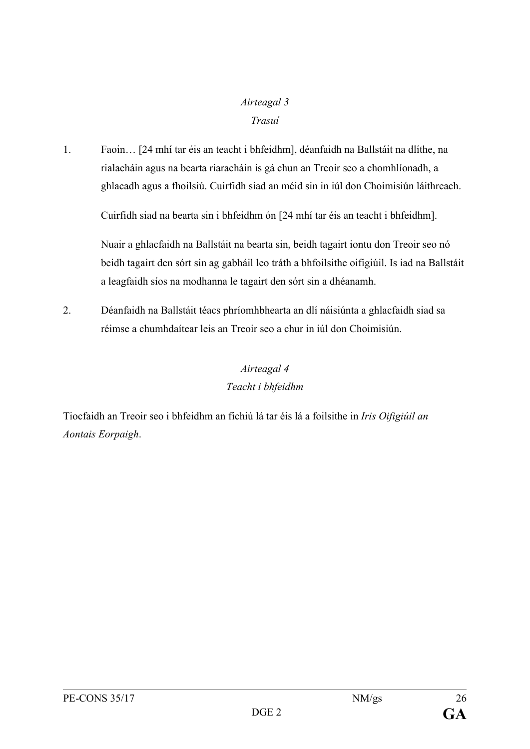# *Airteagal 3 Trasuí*

1. Faoin… [24 mhí tar éis an teacht i bhfeidhm], déanfaidh na Ballstáit na dlíthe, na rialacháin agus na bearta riaracháin is gá chun an Treoir seo a chomhlíonadh, a ghlacadh agus a fhoilsiú. Cuirfidh siad an méid sin in iúl don Choimisiún láithreach.

Cuirfidh siad na bearta sin i bhfeidhm ón [24 mhí tar éis an teacht i bhfeidhm].

Nuair a ghlacfaidh na Ballstáit na bearta sin, beidh tagairt iontu don Treoir seo nó beidh tagairt den sórt sin ag gabháil leo tráth a bhfoilsithe oifigiúil. Is iad na Ballstáit a leagfaidh síos na modhanna le tagairt den sórt sin a dhéanamh.

2. Déanfaidh na Ballstáit téacs phríomhbhearta an dlí náisiúnta a ghlacfaidh siad sa réimse a chumhdaítear leis an Treoir seo a chur in iúl don Choimisiún.

# *Airteagal 4 Teacht i bhfeidhm*

Tiocfaidh an Treoir seo i bhfeidhm an fichiú lá tar éis lá a foilsithe in *Iris Oifigiúil an Aontais Eorpaigh*.